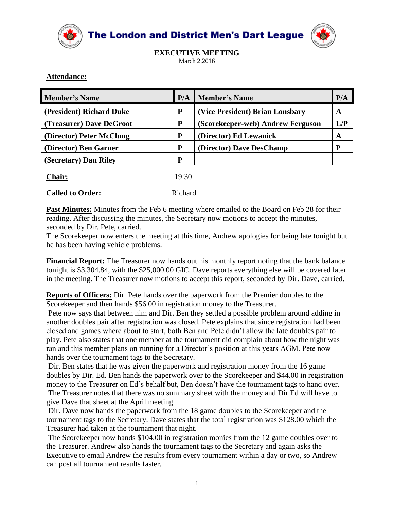

The London and District Men's Dart League



**EXECUTIVE MEETING** March 2,2016

## **Attendance:**

| <b>Member's Name</b>     | P/A   | <b>Member's Name</b>              |     |
|--------------------------|-------|-----------------------------------|-----|
| (President) Richard Duke | P     | (Vice President) Brian Lonsbary   |     |
| (Treasurer) Dave DeGroot | P     | (Scorekeeper-web) Andrew Ferguson | L/P |
| (Director) Peter McClung | P     | (Director) Ed Lewanick            | A   |
| (Director) Ben Garner    | P     | (Director) Dave DesChamp          |     |
| (Secretary) Dan Riley    | P     |                                   |     |
| Chair:                   | 19:30 |                                   |     |

| Called to Order. |  |  |
|------------------|--|--|

**Called to Order:** Richard

I **Past Minutes:** Minutes from the Feb 6 meeting where emailed to the Board on Feb 28 for their reading. After discussing the minutes, the Secretary now motions to accept the minutes, seconded by Dir. Pete, carried.

The Scorekeeper now enters the meeting at this time, Andrew apologies for being late tonight but he has been having vehicle problems.

**Financial Report:** The Treasurer now hands out his monthly report noting that the bank balance tonight is \$3,304.84, with the \$25,000.00 GIC. Dave reports everything else will be covered later in the meeting. The Treasurer now motions to accept this report, seconded by Dir. Dave, carried.

**Reports of Officers:** Dir. Pete hands over the paperwork from the Premier doubles to the Scorekeeper and then hands \$56.00 in registration money to the Treasurer.

Pete now says that between him and Dir. Ben they settled a possible problem around adding in another doubles pair after registration was closed. Pete explains that since registration had been closed and games where about to start, both Ben and Pete didn't allow the late doubles pair to play. Pete also states that one member at the tournament did complain about how the night was ran and this member plans on running for a Director's position at this years AGM. Pete now hands over the tournament tags to the Secretary.

Dir. Ben states that he was given the paperwork and registration money from the 16 game doubles by Dir. Ed. Ben hands the paperwork over to the Scorekeeper and \$44.00 in registration money to the Treasurer on Ed's behalf but, Ben doesn't have the tournament tags to hand over. The Treasurer notes that there was no summary sheet with the money and Dir Ed will have to give Dave that sheet at the April meeting.

Dir. Dave now hands the paperwork from the 18 game doubles to the Scorekeeper and the tournament tags to the Secretary. Dave states that the total registration was \$128.00 which the Treasurer had taken at the tournament that night.

The Scorekeeper now hands \$104.00 in registration monies from the 12 game doubles over to the Treasurer. Andrew also hands the tournament tags to the Secretary and again asks the Executive to email Andrew the results from every tournament within a day or two, so Andrew can post all tournament results faster.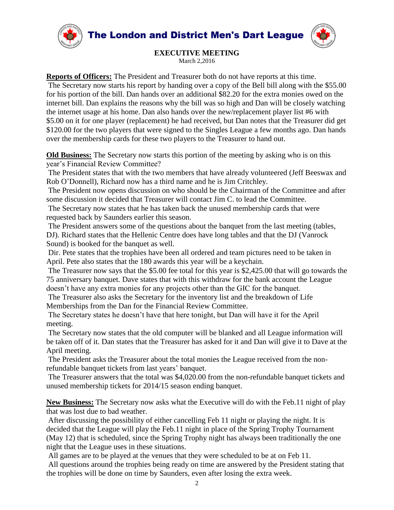



## **EXECUTIVE MEETING**

March 2,2016

**Reports of Officers:** The President and Treasurer both do not have reports at this time. The Secretary now starts his report by handing over a copy of the Bell bill along with the \$55.00 for his portion of the bill. Dan hands over an additional \$82.20 for the extra monies owed on the internet bill. Dan explains the reasons why the bill was so high and Dan will be closely watching the internet usage at his home. Dan also hands over the new/replacement player list #6 with \$5.00 on it for one player (replacement) he had received, but Dan notes that the Treasurer did get \$120.00 for the two players that were signed to the Singles League a few months ago. Dan hands over the membership cards for these two players to the Treasurer to hand out.

**Old Business:** The Secretary now starts this portion of the meeting by asking who is on this year's Financial Review Committee?

The President states that with the two members that have already volunteered (Jeff Beeswax and Rob O'Donnell), Richard now has a third name and he is Jim Critchley.

The President now opens discussion on who should be the Chairman of the Committee and after some discussion it decided that Treasurer will contact Jim C. to lead the Committee.

The Secretary now states that he has taken back the unused membership cards that were requested back by Saunders earlier this season.

The President answers some of the questions about the banquet from the last meeting (tables, DJ). Richard states that the Hellenic Centre does have long tables and that the DJ (Vanrock Sound) is booked for the banquet as well.

Dir. Pete states that the trophies have been all ordered and team pictures need to be taken in April. Pete also states that the 180 awards this year will be a keychain.

The Treasurer now says that the \$5.00 fee total for this year is \$2,425.00 that will go towards the 75 anniversary banquet. Dave states that with this withdraw for the bank account the League doesn't have any extra monies for any projects other than the GIC for the banquet.

The Treasurer also asks the Secretary for the inventory list and the breakdown of Life Memberships from the Dan for the Financial Review Committee.

The Secretary states he doesn't have that here tonight, but Dan will have it for the April meeting.

The Secretary now states that the old computer will be blanked and all League information will be taken off of it. Dan states that the Treasurer has asked for it and Dan will give it to Dave at the April meeting.

The President asks the Treasurer about the total monies the League received from the nonrefundable banquet tickets from last years' banquet.

The Treasurer answers that the total was \$4,020.00 from the non-refundable banquet tickets and unused membership tickets for 2014/15 season ending banquet.

**New Business:** The Secretary now asks what the Executive will do with the Feb.11 night of play that was lost due to bad weather.

After discussing the possibility of either cancelling Feb 11 night or playing the night. It is decided that the League will play the Feb.11 night in place of the Spring Trophy Tournament (May 12) that is scheduled, since the Spring Trophy night has always been traditionally the one night that the League uses in these situations.

All games are to be played at the venues that they were scheduled to be at on Feb 11.

All questions around the trophies being ready on time are answered by the President stating that the trophies will be done on time by Saunders, even after losing the extra week.